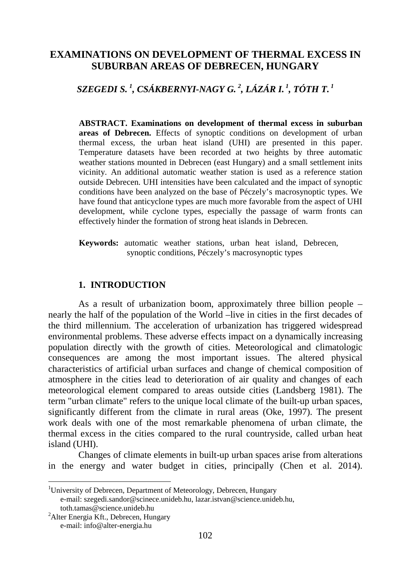# **EXAMINATIONS ON DEVELOPMENT OF THERMAL EXCESS IN SUBURBAN AREAS OF DEBRECEN, HUNGARY**

*SZEGEDI S. [1](#page-0-0) , CSÁKBERNYI-NAGY G. [2](#page-0-1) , LÁZÁR I. <sup>1</sup> , TÓTH T. <sup>1</sup>*

**ABSTRACT. Examinations on development of thermal excess in suburban areas of Debrecen.** Effects of synoptic conditions on development of urban thermal excess, the urban heat island (UHI) are presented in this paper. Temperature datasets have been recorded at two heights by three automatic weather stations mounted in Debrecen (east Hungary) and a small settlement inits vicinity. An additional automatic weather station is used as a reference station outside Debrecen. UHI intensities have been calculated and the impact of synoptic conditions have been analyzed on the base of Péczely's macrosynoptic types. We have found that anticyclone types are much more favorable from the aspect of UHI development, while cyclone types, especially the passage of warm fronts can effectively hinder the formation of strong heat islands in Debrecen.

**Keywords:** automatic weather stations, urban heat island, Debrecen, synoptic conditions, Péczely's macrosynoptic types

### **1. INTRODUCTION**

As a result of urbanization boom, approximately three billion people – nearly the half of the population of the World –live in cities in the first decades of the third millennium. The acceleration of urbanization has triggered widespread environmental problems. These adverse effects impact on a dynamically increasing population directly with the growth of cities. Meteorological and climatologic consequences are among the most important issues. The altered physical characteristics of artificial urban surfaces and change of chemical composition of atmosphere in the cities lead to deterioration of air quality and changes of each meteorological element compared to areas outside cities (Landsberg 1981). The term "urban climate" refers to the unique local climate of the built-up urban spaces, significantly different from the climate in rural areas (Oke, 1997). The present work deals with one of the most remarkable phenomena of urban climate, the thermal excess in the cities compared to the rural countryside, called urban heat island (UHI).

Changes of climate elements in built-up urban spaces arise from alterations in the energy and water budget in cities, principally (Chen et al. 2014).

 $\overline{a}$ 

<span id="page-0-0"></span><sup>&</sup>lt;sup>1</sup>University of Debrecen, Department of Meteorology, Debrecen, Hungary e-mail: szegedi.sandor@scinece.unideb.hu, [lazar.istvan@science.unideb.hu,](mailto:lazar.istvan@science.unideb.hu) toth.tamas@science.unideb.hu 2

<span id="page-0-1"></span><sup>&</sup>lt;sup>2</sup> Alter Energia Kft., Debrecen, Hungary e-mail: info@alter-energia.hu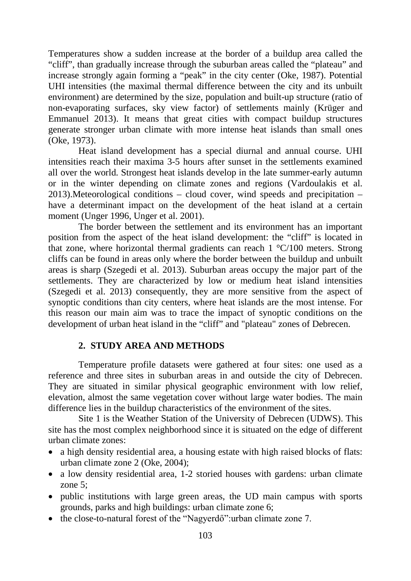Temperatures show a sudden increase at the border of a buildup area called the "cliff", than gradually increase through the suburban areas called the "plateau" and increase strongly again forming a "peak" in the city center (Oke, 1987). Potential UHI intensities (the maximal thermal difference between the city and its unbuilt environment) are determined by the size, population and built-up structure (ratio of non-evaporating surfaces, sky view factor) of settlements mainly (Krüger and Emmanuel 2013). It means that great cities with compact buildup structures generate stronger urban climate with more intense heat islands than small ones (Oke, 1973).

Heat island development has a special diurnal and annual course. UHI intensities reach their maxima 3-5 hours after sunset in the settlements examined all over the world. Strongest heat islands develop in the late summer-early autumn or in the winter depending on climate zones and regions (Vardoulakis et al. 2013).Meteorological conditions – cloud cover, wind speeds and precipitation – have a determinant impact on the development of the heat island at a certain moment (Unger 1996, Unger et al. 2001).

The border between the settlement and its environment has an important position from the aspect of the heat island development: the "cliff" is located in that zone, where horizontal thermal gradients can reach 1 °C/100 meters. Strong cliffs can be found in areas only where the border between the buildup and unbuilt areas is sharp (Szegedi et al. 2013). Suburban areas occupy the major part of the settlements. They are characterized by low or medium heat island intensities (Szegedi et al. 2013) consequently, they are more sensitive from the aspect of synoptic conditions than city centers, where heat islands are the most intense. For this reason our main aim was to trace the impact of synoptic conditions on the development of urban heat island in the "cliff" and "plateau" zones of Debrecen.

## **2. STUDY AREA AND METHODS**

Temperature profile datasets were gathered at four sites: one used as a reference and three sites in suburban areas in and outside the city of Debrecen. They are situated in similar physical geographic environment with low relief, elevation, almost the same vegetation cover without large water bodies. The main difference lies in the buildup characteristics of the environment of the sites.

Site 1 is the Weather Station of the University of Debrecen (UDWS). This site has the most complex neighborhood since it is situated on the edge of different urban climate zones:

- a high density residential area, a housing estate with high raised blocks of flats: urban climate zone 2 (Oke, 2004);
- a low density residential area, 1-2 storied houses with gardens: urban climate zone 5;
- public institutions with large green areas, the UD main campus with sports grounds, parks and high buildings: urban climate zone 6;
- the close-to-natural forest of the "Nagyerdő":urban climate zone 7.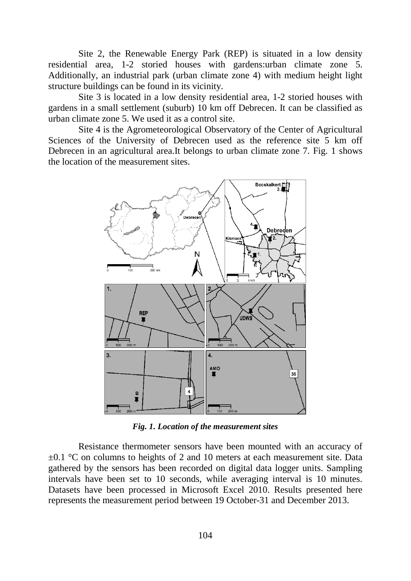Site 2, the Renewable Energy Park (REP) is situated in a low density residential area, 1-2 storied houses with gardens:urban climate zone 5. Additionally, an industrial park (urban climate zone 4) with medium height light structure buildings can be found in its vicinity.

Site 3 is located in a low density residential area, 1-2 storied houses with gardens in a small settlement (suburb) 10 km off Debrecen. It can be classified as urban climate zone 5. We used it as a control site.

Site 4 is the Agrometeorological Observatory of the Center of Agricultural Sciences of the University of Debrecen used as the reference site 5 km off Debrecen in an agricultural area.It belongs to urban climate zone 7. Fig. 1 shows the location of the measurement sites.



*Fig. 1. Location of the measurement sites*

Resistance thermometer sensors have been mounted with an accuracy of  $\pm 0.1$  °C on columns to heights of 2 and 10 meters at each measurement site. Data gathered by the sensors has been recorded on digital data logger units. Sampling intervals have been set to 10 seconds, while averaging interval is 10 minutes. Datasets have been processed in Microsoft Excel 2010. Results presented here represents the measurement period between 19 October-31 and December 2013.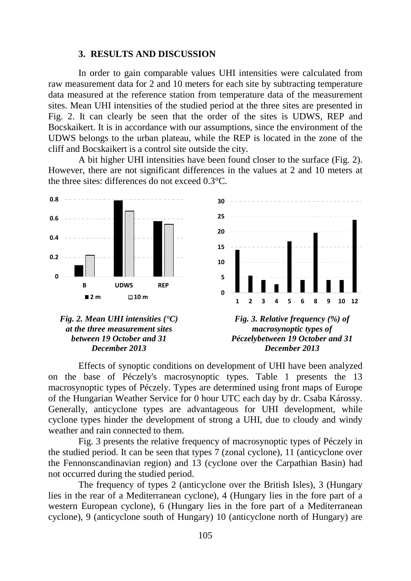#### **3. RESULTS AND DISCUSSION**

In order to gain comparable values UHI intensities were calculated from raw measurement data for 2 and 10 meters for each site by subtracting temperature data measured at the reference station from temperature data of the measurement sites. Mean UHI intensities of the studied period at the three sites are presented in Fig. 2. It can clearly be seen that the order of the sites is UDWS, REP and Bocskaikert. It is in accordance with our assumptions, since the environment of the UDWS belongs to the urban plateau, while the REP is located in the zone of the cliff and Bocskaikert is a control site outside the city.

A bit higher UHI intensities have been found closer to the surface (Fig. 2). However, there are not significant differences in the values at 2 and 10 meters at the three sites: differences do not exceed 0.3°C.



Effects of synoptic conditions on development of UHI have been analyzed on the base of Péczely's macrosynoptic types. Table 1 presents the 13 macrosynoptic types of Péczely. Types are determined using front maps of Europe of the Hungarian Weather Service for 0 hour UTC each day by dr. Csaba Károssy. Generally, anticyclone types are advantageous for UHI development, while cyclone types hinder the development of strong a UHI, due to cloudy and windy weather and rain connected to them.

Fig. 3 presents the relative frequency of macrosynoptic types of Péczely in the studied period. It can be seen that types 7 (zonal cyclone), 11 (anticyclone over the Fennonscandinavian region) and 13 (cyclone over the Carpathian Basin) had not occurred during the studied period.

The frequency of types 2 (anticyclone over the British Isles), 3 (Hungary lies in the rear of a Mediterranean cyclone), 4 (Hungary lies in the fore part of a western European cyclone), 6 (Hungary lies in the fore part of a Mediterranean cyclone), 9 (anticyclone south of Hungary) 10 (anticyclone north of Hungary) are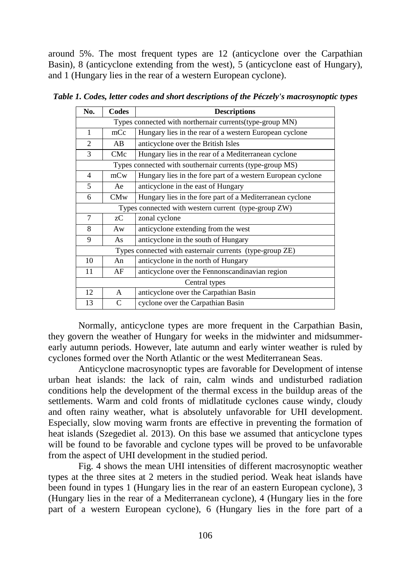around 5%. The most frequent types are 12 (anticyclone over the Carpathian Basin), 8 (anticyclone extending from the west), 5 (anticyclone east of Hungary), and 1 (Hungary lies in the rear of a western European cyclone).

| No.                                                       | Codes         | <b>Descriptions</b>                                         |  |  |  |  |
|-----------------------------------------------------------|---------------|-------------------------------------------------------------|--|--|--|--|
| Types connected with northernair currents(type-group MN)  |               |                                                             |  |  |  |  |
| 1                                                         | mCc           | Hungary lies in the rear of a western European cyclone      |  |  |  |  |
| $\mathfrak{D}$                                            | AB            | anticyclone over the British Isles                          |  |  |  |  |
| 3                                                         | CMc           | Hungary lies in the rear of a Mediterranean cyclone         |  |  |  |  |
| Types connected with southernair currents (type-group MS) |               |                                                             |  |  |  |  |
| 4                                                         | mCw           | Hungary lies in the fore part of a western European cyclone |  |  |  |  |
| 5                                                         | Ae            | anticyclone in the east of Hungary                          |  |  |  |  |
| 6                                                         | CMw           | Hungary lies in the fore part of a Mediterranean cyclone    |  |  |  |  |
| Types connected with western current (type-group ZW)      |               |                                                             |  |  |  |  |
| 7                                                         | zC            | zonal cyclone                                               |  |  |  |  |
| 8                                                         | Aw            | anticyclone extending from the west                         |  |  |  |  |
| 9                                                         | As            | anticyclone in the south of Hungary                         |  |  |  |  |
| Types connected with easternair currents (type-group ZE)  |               |                                                             |  |  |  |  |
| 10                                                        | An            | anticyclone in the north of Hungary                         |  |  |  |  |
| 11                                                        | AF            | anticyclone over the Fennonscandinavian region              |  |  |  |  |
| Central types                                             |               |                                                             |  |  |  |  |
| 12                                                        | A             | anticyclone over the Carpathian Basin                       |  |  |  |  |
| 13                                                        | $\mathcal{C}$ | cyclone over the Carpathian Basin                           |  |  |  |  |

*Table 1. Codes, letter codes and short descriptions of the Péczely's macrosynoptic types*

Normally, anticyclone types are more frequent in the Carpathian Basin, they govern the weather of Hungary for weeks in the midwinter and midsummerearly autumn periods. However, late autumn and early winter weather is ruled by cyclones formed over the North Atlantic or the west Mediterranean Seas.

Anticyclone macrosynoptic types are favorable for Development of intense urban heat islands: the lack of rain, calm winds and undisturbed radiation conditions help the development of the thermal excess in the buildup areas of the settlements. Warm and cold fronts of midlatitude cyclones cause windy, cloudy and often rainy weather, what is absolutely unfavorable for UHI development. Especially, slow moving warm fronts are effective in preventing the formation of heat islands (Szegediet al. 2013). On this base we assumed that anticyclone types will be found to be favorable and cyclone types will be proved to be unfavorable from the aspect of UHI development in the studied period.

Fig. 4 shows the mean UHI intensities of different macrosynoptic weather types at the three sites at 2 meters in the studied period. Weak heat islands have been found in types 1 (Hungary lies in the rear of an eastern European cyclone), 3 (Hungary lies in the rear of a Mediterranean cyclone), 4 (Hungary lies in the fore part of a western European cyclone), 6 (Hungary lies in the fore part of a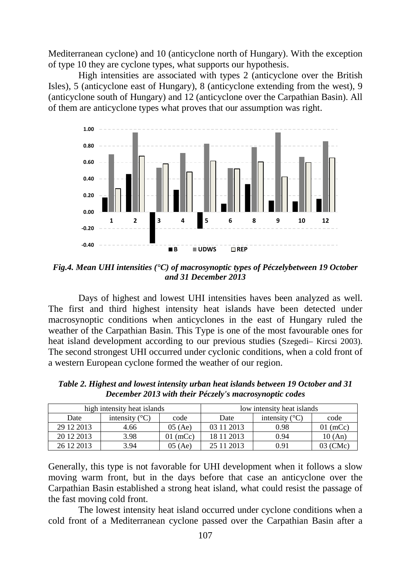Mediterranean cyclone) and 10 (anticyclone north of Hungary). With the exception of type 10 they are cyclone types, what supports our hypothesis.

High intensities are associated with types 2 (anticyclone over the British Isles), 5 (anticyclone east of Hungary), 8 (anticyclone extending from the west), 9 (anticyclone south of Hungary) and 12 (anticyclone over the Carpathian Basin). All of them are anticyclone types what proves that our assumption was right.



*Fig.4. Mean UHI intensities (°C) of macrosynoptic types of Péczelybetween 19 October and 31 December 2013*

Days of highest and lowest UHI intensities haves been analyzed as well. The first and third highest intensity heat islands have been detected under macrosynoptic conditions when anticyclones in the east of Hungary ruled the weather of the Carpathian Basin. This Type is one of the most favourable ones for heat island development according to our previous studies (Szegedi– Kircsi 2003). The second strongest UHI occurred under cyclonic conditions, when a cold front of a western European cyclone formed the weather of our region.

|             | high intensity heat islands |            | low intensity heat islands |                         |            |
|-------------|-----------------------------|------------|----------------------------|-------------------------|------------|
| Date        | intensity $(^{\circ}C)$     | code       | Date                       | intensity $(^{\circ}C)$ | code       |
| 29 12 2013  | 4.66                        | 05(Ae)     | 03 11 2013                 | 0.98                    | $01$ (mCc) |
| 20 12 20 13 | 3.98                        | $01$ (mCc) | 18 11 2013                 | 0.94                    | 10 (An)    |
| 26 12 2013  | 3.94                        | 05(Ae)     | 25 11 2013                 | 0.91                    | 03 (CMc)   |

*Table 2. Highest and lowest intensity urban heat islands between 19 October and 31 December 2013 with their Péczely's macrosynoptic codes*

Generally, this type is not favorable for UHI development when it follows a slow moving warm front, but in the days before that case an anticyclone over the Carpathian Basin established a strong heat island, what could resist the passage of the fast moving cold front.

The lowest intensity heat island occurred under cyclone conditions when a cold front of a Mediterranean cyclone passed over the Carpathian Basin after a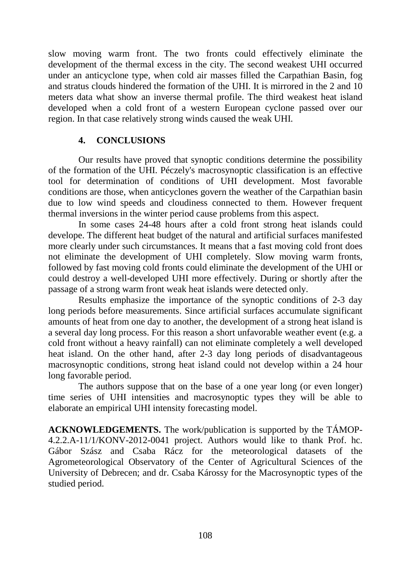slow moving warm front. The two fronts could effectively eliminate the development of the thermal excess in the city. The second weakest UHI occurred under an anticyclone type, when cold air masses filled the Carpathian Basin, fog and stratus clouds hindered the formation of the UHI. It is mirrored in the 2 and 10 meters data what show an inverse thermal profile. The third weakest heat island developed when a cold front of a western European cyclone passed over our region. In that case relatively strong winds caused the weak UHI.

## **4. CONCLUSIONS**

Our results have proved that synoptic conditions determine the possibility of the formation of the UHI. Péczely's macrosynoptic classification is an effective tool for determination of conditions of UHI development. Most favorable conditions are those, when anticyclones govern the weather of the Carpathian basin due to low wind speeds and cloudiness connected to them. However frequent thermal inversions in the winter period cause problems from this aspect.

In some cases 24-48 hours after a cold front strong heat islands could develope. The different heat budget of the natural and artificial surfaces manifested more clearly under such circumstances. It means that a fast moving cold front does not eliminate the development of UHI completely. Slow moving warm fronts, followed by fast moving cold fronts could eliminate the development of the UHI or could destroy a well-developed UHI more effectively. During or shortly after the passage of a strong warm front weak heat islands were detected only.

Results emphasize the importance of the synoptic conditions of 2-3 day long periods before measurements. Since artificial surfaces accumulate significant amounts of heat from one day to another, the development of a strong heat island is a several day long process. For this reason a short unfavorable weather event (e.g. a cold front without a heavy rainfall) can not eliminate completely a well developed heat island. On the other hand, after 2-3 day long periods of disadvantageous macrosynoptic conditions, strong heat island could not develop within a 24 hour long favorable period.

The authors suppose that on the base of a one year long (or even longer) time series of UHI intensities and macrosynoptic types they will be able to elaborate an empirical UHI intensity forecasting model.

**ACKNOWLEDGEMENTS.** The work/publication is supported by the TÁMOP-4.2.2.A-11/1/KONV-2012-0041 project. Authors would like to thank Prof. hc. Gábor Szász and Csaba Rácz for the meteorological datasets of the Agrometeorological Observatory of the Center of Agricultural Sciences of the University of Debrecen; and dr. Csaba Károssy for the Macrosynoptic types of the studied period.